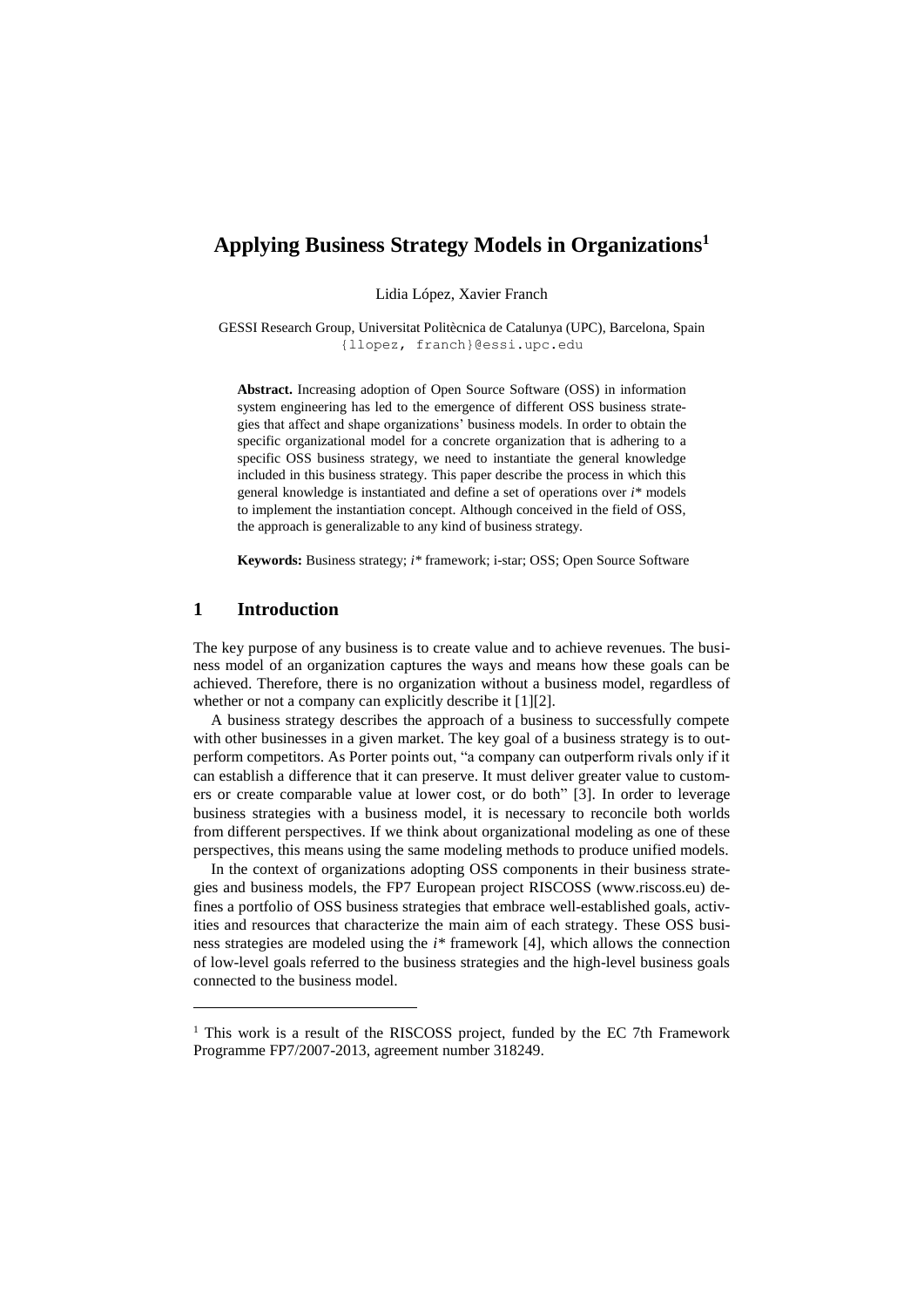# **Applying Business Strategy Models in Organizations 1**

Lidia López, Xavier Franch

GESSI Research Group, Universitat Politècnica de Catalunya (UPC), Barcelona, Spain {llopez, [franch}@essi.upc.edu](mailto:franch%7d@essi.upc.edu)

**Abstract.** Increasing adoption of Open Source Software (OSS) in information system engineering has led to the emergence of different OSS business strategies that affect and shape organizations' business models. In order to obtain the specific organizational model for a concrete organization that is adhering to a specific OSS business strategy, we need to instantiate the general knowledge included in this business strategy. This paper describe the process in which this general knowledge is instantiated and define a set of operations over *i\** models to implement the instantiation concept. Although conceived in the field of OSS, the approach is generalizable to any kind of business strategy.

**Keywords:** Business strategy; *i\** framework; i-star; OSS; Open Source Software

### **1 Introduction**

 $\overline{a}$ 

The key purpose of any business is to create value and to achieve revenues. The business model of an organization captures the ways and means how these goals can be achieved. Therefore, there is no organization without a business model, regardless of whether or not a company can explicitly describe it [1][2].

A business strategy describes the approach of a business to successfully compete with other businesses in a given market. The key goal of a business strategy is to outperform competitors. As Porter points out, "a company can outperform rivals only if it can establish a difference that it can preserve. It must deliver greater value to customers or create comparable value at lower cost, or do both" [3]. In order to leverage business strategies with a business model, it is necessary to reconcile both worlds from different perspectives. If we think about organizational modeling as one of these perspectives, this means using the same modeling methods to produce unified models.

In the context of organizations adopting OSS components in their business strategies and business models, the FP7 European project RISCOSS (www.riscoss.eu) defines a portfolio of OSS business strategies that embrace well-established goals, activities and resources that characterize the main aim of each strategy. These OSS business strategies are modeled using the *i\** framework [4], which allows the connection of low-level goals referred to the business strategies and the high-level business goals connected to the business model.

<sup>&</sup>lt;sup>1</sup> This work is a result of the RISCOSS project, funded by the EC 7th Framework Programme FP7/2007-2013, agreement number 318249.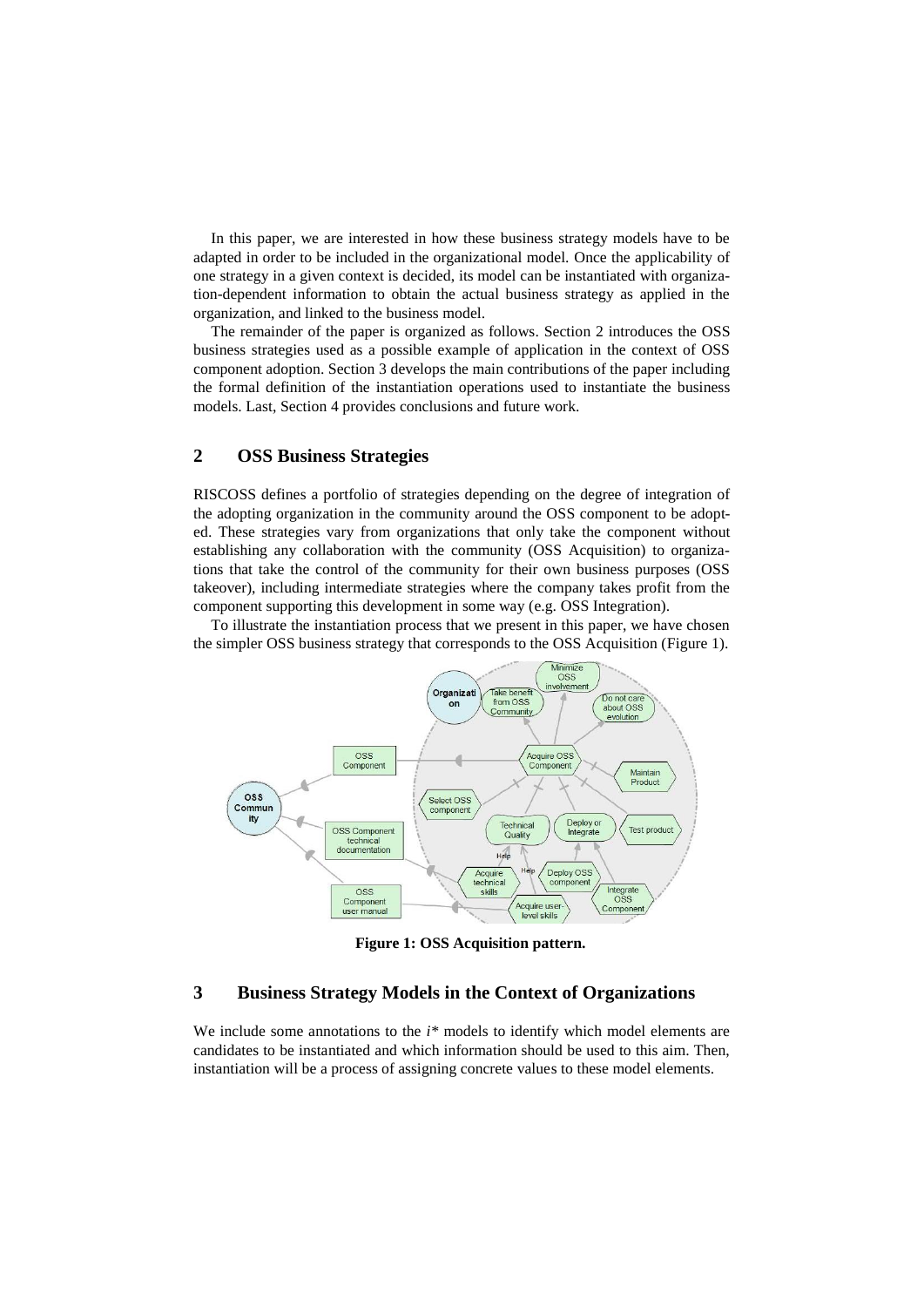In this paper, we are interested in how these business strategy models have to be adapted in order to be included in the organizational model. Once the applicability of one strategy in a given context is decided, its model can be instantiated with organization-dependent information to obtain the actual business strategy as applied in the organization, and linked to the business model.

The remainder of the paper is organized as follows. Section [2](#page-1-0) introduces the OSS business strategies used as a possible example of application in the context of OSS component adoption. Section [3](#page-1-1) develops the main contributions of the paper including the formal definition of the instantiation operations used to instantiate the business models. Last, Section [4](#page-5-0) provides conclusions and future work.

## <span id="page-1-0"></span>**2 OSS Business Strategies**

RISCOSS defines a portfolio of strategies depending on the degree of integration of the adopting organization in the community around the OSS component to be adopted. These strategies vary from organizations that only take the component without establishing any collaboration with the community (OSS Acquisition) to organizations that take the control of the community for their own business purposes (OSS takeover), including intermediate strategies where the company takes profit from the component supporting this development in some way (e.g. OSS Integration).

To illustrate the instantiation process that we present in this paper, we have chosen the simpler OSS business strategy that corresponds to the OSS Acquisition [\(Figure 1\)](#page-1-2).



**Figure 1: OSS Acquisition pattern.**

# <span id="page-1-2"></span><span id="page-1-1"></span>**3 Business Strategy Models in the Context of Organizations**

We include some annotations to the *i*<sup>\*</sup> models to identify which model elements are candidates to be instantiated and which information should be used to this aim. Then, instantiation will be a process of assigning concrete values to these model elements.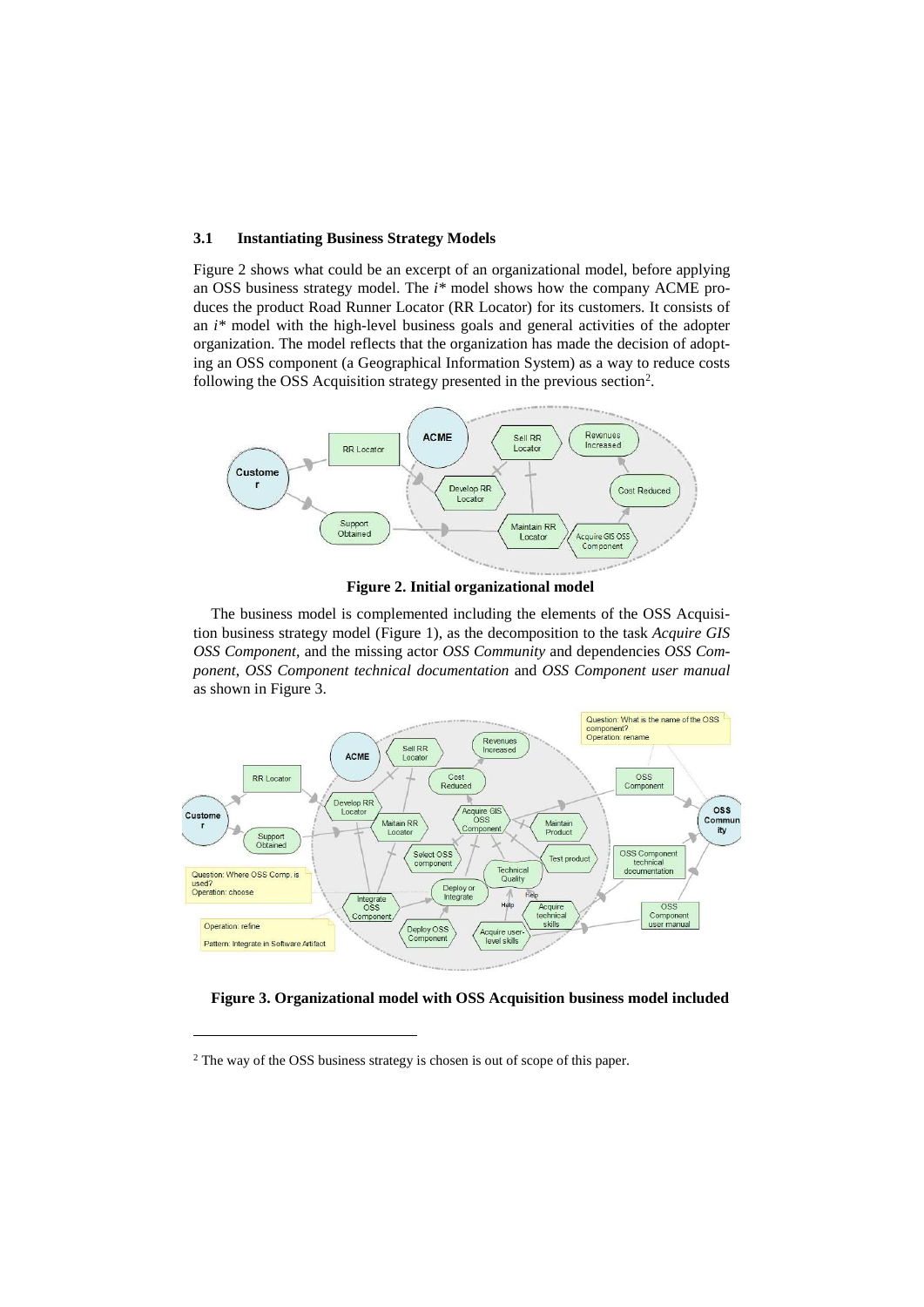#### **3.1 Instantiating Business Strategy Models**

[Figure 2](#page-2-0) shows what could be an excerpt of an organizational model, before applying an OSS business strategy model. The *i\** model shows how the company ACME produces the product Road Runner Locator (RR Locator) for its customers. It consists of an *i\** model with the high-level business goals and general activities of the adopter organization. The model reflects that the organization has made the decision of adopting an OSS component (a Geographical Information System) as a way to reduce costs following the OSS Acquisition strategy presented in the previous section<sup>2</sup>.



**Figure 2. Initial organizational model**

<span id="page-2-0"></span>The business model is complemented including the elements of the OSS Acquisition business strategy model [\(Figure 1\)](#page-1-2), as the decomposition to the task *Acquire GIS OSS Component,* and the missing actor *OSS Community* and dependencies *OSS Component*, *OSS Component technical documentation* and *OSS Component user manual* as shown in [Figure 3.](#page-2-1)



<span id="page-2-1"></span>**Figure 3. Organizational model with OSS Acquisition business model included**

 $\overline{a}$ 

<sup>2</sup> The way of the OSS business strategy is chosen is out of scope of this paper.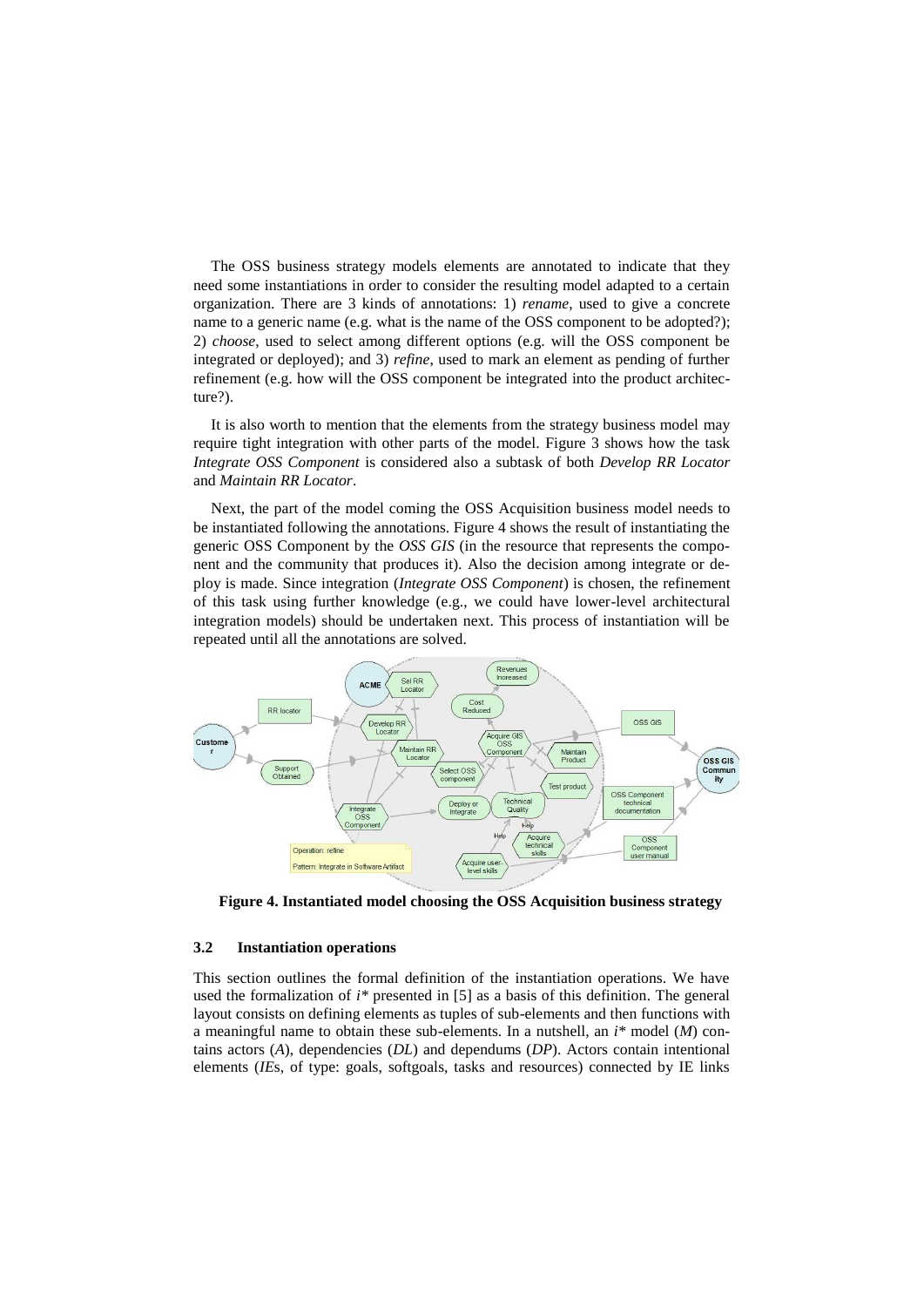The OSS business strategy models elements are annotated to indicate that they need some instantiations in order to consider the resulting model adapted to a certain organization. There are 3 kinds of annotations: 1) *rename*, used to give a concrete name to a generic name (e.g. what is the name of the OSS component to be adopted?); 2) *choose*, used to select among different options (e.g. will the OSS component be integrated or deployed); and 3) *refine*, used to mark an element as pending of further refinement (e.g. how will the OSS component be integrated into the product architecture?).

It is also worth to mention that the elements from the strategy business model may require tight integration with other parts of the model. [Figure 3](#page-2-1) shows how the task *Integrate OSS Component* is considered also a subtask of both *Develop RR Locator* and *Maintain RR Locator*.

Next, the part of the model coming the OSS Acquisition business model needs to be instantiated following the annotations. [Figure 4](#page-3-0) shows the result of instantiating the generic OSS Component by the *OSS GIS* (in the resource that represents the component and the community that produces it). Also the decision among integrate or deploy is made. Since integration (*Integrate OSS Component*) is chosen, the refinement of this task using further knowledge (e.g., we could have lower-level architectural integration models) should be undertaken next. This process of instantiation will be repeated until all the annotations are solved.



<span id="page-3-0"></span>**Figure 4. Instantiated model choosing the OSS Acquisition business strategy**

#### **3.2 Instantiation operations**

This section outlines the formal definition of the instantiation operations. We have used the formalization of *i\** presented in [5] as a basis of this definition. The general layout consists on defining elements as tuples of sub-elements and then functions with a meaningful name to obtain these sub-elements. In a nutshell, an *i\** model (*M*) contains actors (*A*), dependencies (*DL*) and dependums (*DP*). Actors contain intentional elements (*IE*s, of type: goals, softgoals, tasks and resources) connected by IE links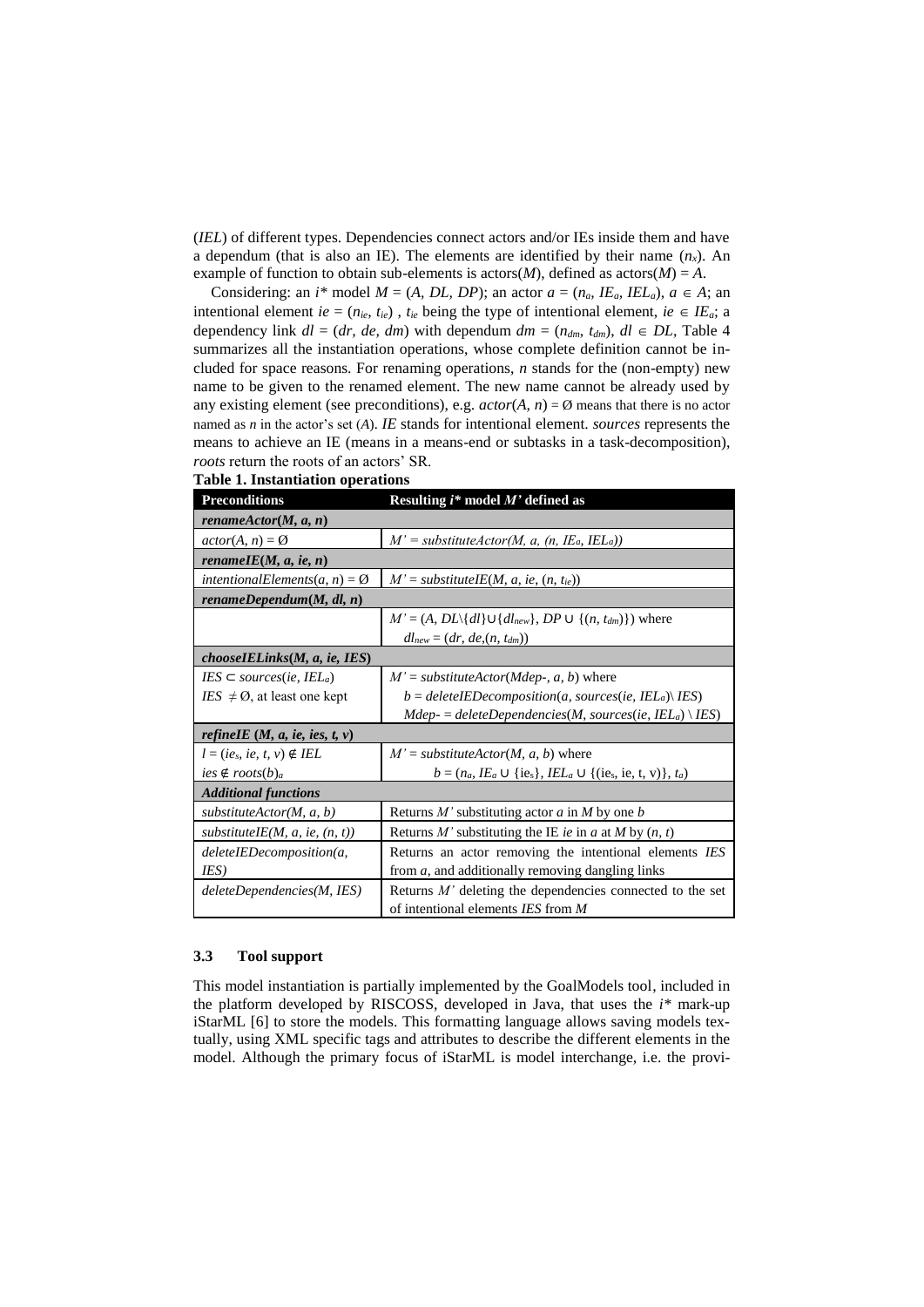(*IEL*) of different types. Dependencies connect actors and/or IEs inside them and have a dependum (that is also an IE). The elements are identified by their name  $(n_x)$ . An example of function to obtain sub-elements is actors(*M*), defined as actors(*M*) = *A*.

Considering: an *i*\* model  $M = (A, DL, DP)$ ; an actor  $a = (n_a, IE_a, IEL_a), a \in A$ ; an intentional element *ie* =  $(n_{ie}, t_{ie})$ ,  $t_{ie}$  being the type of intentional element,  $ie \in IE_a$ ; a dependency link  $dl = (dr, de, dm)$  with dependum  $dm = (n_{dm}, t_{dm})$ ,  $dl \in DL$ , Table 4 summarizes all the instantiation operations, whose complete definition cannot be included for space reasons. For renaming operations, *n* stands for the (non-empty) new name to be given to the renamed element. The new name cannot be already used by any existing element (see preconditions), e.g.  $actor(A, n) = \emptyset$  means that there is no actor named as *n* in the actor's set (*A*). *IE* stands for intentional element. *sources* represents the means to achieve an IE (means in a means-end or subtasks in a task-decomposition), *roots* return the roots of an actors' SR.

| <b>Preconditions</b>                     | Resulting $i^*$ model $M'$ defined as                                   |  |  |  |
|------------------------------------------|-------------------------------------------------------------------------|--|--|--|
| rename $Action(M, a, n)$                 |                                                                         |  |  |  |
| $actor(A, n) = \emptyset$                | $M'$ = substitute Actor(M, a, (n, IE <sub>a</sub> , IEL <sub>a</sub> )) |  |  |  |
| renameIE $(M, a, ie, n)$                 |                                                                         |  |  |  |
| intentionalElements(a, n) = $\emptyset$  | $M'$ = substituteIE(M, a, ie, (n, t <sub>ie</sub> ))                    |  |  |  |
| renameDependum(M, dl, n)                 |                                                                         |  |  |  |
|                                          | $M' = (A, DL\{dl\} \cup \{dl_{new}\}, DP \cup \{(n, t_{dm})\})$ where   |  |  |  |
|                                          | $dl_{new} = (dr, de, (n, t_{dm}))$                                      |  |  |  |
| chooselELinks(M, a, ie, IES)             |                                                                         |  |  |  |
| $IES \subseteq sources(ie, IEL_a)$       | $M'$ = substituteActor(Mdep-, a, b) where                               |  |  |  |
| $IES \neq \emptyset$ , at least one kept | $b = deleteIEDe composition(a, sources(ie, IELa) \langle IES \rangle$   |  |  |  |
|                                          | $Mdep = deleteDependencies(M, sources(ie, IELa) \setminus IES)$         |  |  |  |
| <i>refineIE</i> $(M, a, ie, ies, t, v)$  |                                                                         |  |  |  |
| $l = (ie_s, ie, t, v) \notin IEL$        | $M'$ = substituteActor(M, a, b) where                                   |  |  |  |
| $ies \notin roots(b)a$                   | $b = (n_a, I E_a \cup {ie_s}, I E L_a \cup {ie_s, ie, t, v)}, t_a)$     |  |  |  |
| <b>Additional functions</b>              |                                                                         |  |  |  |
| substituteActor(M, a, b)                 | Returns M' substituting actor $a$ in M by one $b$                       |  |  |  |
| substituteIE(M, a, ie, $(n, t)$ )        | Returns M' substituting the IE ie in a at M by $(n, t)$                 |  |  |  |
| deleteIEDecomposition(a,                 | Returns an actor removing the intentional elements IES                  |  |  |  |
| IES)                                     | from $a$ , and additionally removing dangling links                     |  |  |  |
| deleteDependencies(M, IES)               | Returns $M'$ deleting the dependencies connected to the set             |  |  |  |
|                                          | of intentional elements IES from M                                      |  |  |  |

|  | <b>Table 1. Instantiation operations</b> |  |
|--|------------------------------------------|--|
|  |                                          |  |

### **3.3 Tool support**

This model instantiation is partially implemented by the GoalModels tool, included in the platform developed by RISCOSS, developed in Java, that uses the *i\** mark-up iStarML [6] to store the models. This formatting language allows saving models textually, using XML specific tags and attributes to describe the different elements in the model. Although the primary focus of iStarML is model interchange, i.e. the provi